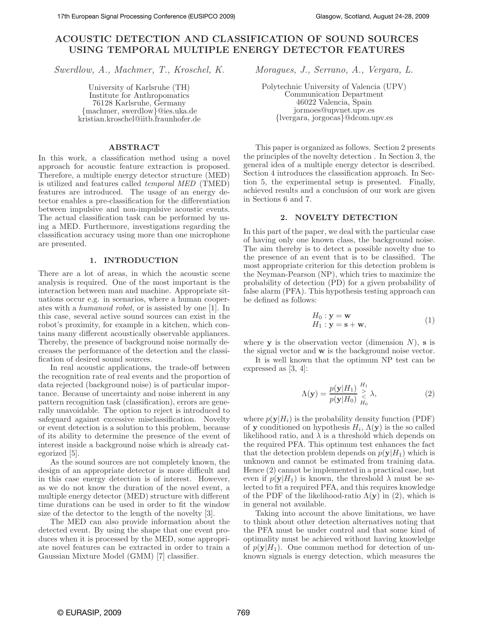# **ACOUSTIC DETECTION AND CLASSIFICATION OF SOUND SOURCES USING TEMPORAL MULTIPLE ENERGY DETECTOR FEATURES**

*Swerdlow, A., Machmer, T., Kroschel, K. Moragues, J., Serrano, A., Vergara, L.*

University of Karlsruhe (TH) Institute for Anthropomatics 76128 Karlsruhe, Germany {machmer, swerdlow}@ies.uka.de kristian.kroschel@iitb.fraunhofer.de

# **ABSTRACT**

In this work, a classification method using a novel approach for acoustic feature extraction is proposed. Therefore, a multiple energy detector structure (MED) is utilized and features called *temporal MED* (TMED) features are introduced. The usage of an energy detector enables a pre-classification for the differentiation between impulsive and non-impulsive acoustic events. The actual classification task can be performed by using a MED. Furthermore, investigations regarding the classification accuracy using more than one microphone are presented.

## **1. INTRODUCTION**

There are a lot of areas, in which the acoustic scene analysis is required. One of the most important is the interaction between man and machine. Appropriate situations occur e.g. in scenarios, where a human cooperates with a *humanoid robot*, or is assisted by one [1]. In this case, several active sound sources can exist in the robot's proximity, for example in a kitchen, which contains many different acoustically observable appliances. Thereby, the presence of background noise normally decreases the performance of the detection and the classification of desired sound sources.

In real acoustic applications, the trade-off between the recognition rate of real events and the proportion of data rejected (background noise) is of particular importance. Because of uncertainty and noise inherent in any pattern recognition task (classification), errors are generally unavoidable. The option to reject is introduced to safeguard against excessive misclassification. Novelty or event detection is a solution to this problem, because of its ability to determine the presence of the event of interest inside a background noise which is already categorized [5].

As the sound sources are not completely known, the design of an appropriate detector is more difficult and in this case energy detection is of interest. However, as we do not know the duration of the novel event, a multiple energy detector (MED) structure with different time durations can be used in order to fit the window size of the detector to the length of the novelty [3].

The MED can also provide information about the detected event. By using the shape that one event produces when it is processed by the MED, some appropriate novel features can be extracted in order to train a Gaussian Mixture Model (GMM) [7] classifier.

Polytechnic University of Valencia (UPV) Communication Department 46022 Valencia, Spain jormoes@upvnet.upv.es {lvergara, jorgocas}@dcom.upv.es

This paper is organized as follows. Section 2 presents the principles of the novelty detection . In Section 3, the general idea of a multiple energy detector is described. Section 4 introduces the classification approach. In Section 5, the experimental setup is presented. Finally, achieved results and a conclusion of our work are given in Sections 6 and 7.

#### **2. NOVELTY DETECTION**

In this part of the paper, we deal with the particular case of having only one known class, the background noise. The aim thereby is to detect a possible novelty due to the presence of an event that is to be classified. The most appropriate criterion for this detection problem is the Neyman-Pearson (NP), which tries to maximize the probability of detection (PD) for a given probability of false alarm (PFA). This hypothesis testing approach can be defined as follows:

$$
H_0: \mathbf{y} = \mathbf{w}
$$
  
\n
$$
H_1: \mathbf{y} = \mathbf{s} + \mathbf{w},
$$
\n(1)

where **y** is the observation vector (dimension  $N$ ), **s** is the signal vector and **w** is the background noise vector.

It is well known that the optimum NP test can be expressed as [3, 4]:

$$
\Lambda(\mathbf{y}) = \frac{p(\mathbf{y}|H_1)}{p(\mathbf{y}|H_0)} \sum_{H_0}^{H_1} \lambda,\tag{2}
$$

where  $p(\mathbf{y}|H_i)$  is the probability density function (PDF) of **y** conditioned on hypothesis  $H_i$ ,  $\Lambda(\mathbf{y})$  is the so called likelihood ratio, and  $\lambda$  is a threshold which depends on the required PFA. This optimum test enhances the fact that the detection problem depends on  $p(\mathbf{y}|H_1)$  which is unknown and cannot be estimated from training data. Hence (2) cannot be implemented in a practical case, but even if  $p(\mathbf{v}|H_1)$  is known, the threshold  $\lambda$  must be selected to fit a required PFA, and this requires knowledge of the PDF of the likelihood-ratio  $\Lambda(\mathbf{v})$  in (2), which is in general not available.

Taking into account the above limitations, we have to think about other detection alternatives noting that the PFA must be under control and that some kind of optimality must be achieved without having knowledge of  $p(\mathbf{y}|H_1)$ . One common method for detection of unknown signals is energy detection, which measures the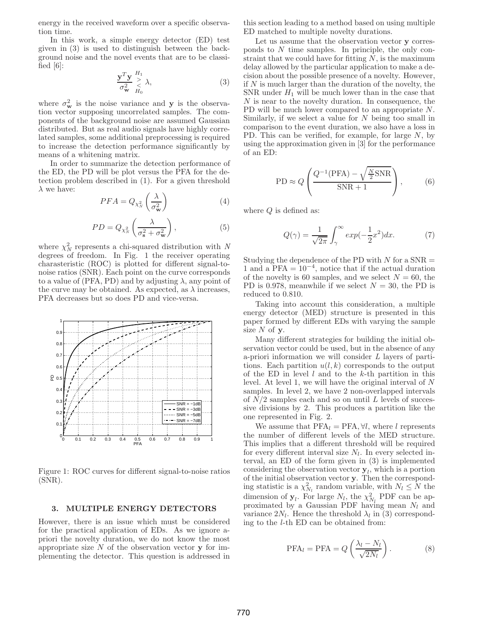energy in the received waveform over a specific observation time.

In this work, a simple energy detector (ED) test given in (3) is used to distinguish between the background noise and the novel events that are to be classified  $[6]$ :

$$
\frac{\mathbf{y}^T \mathbf{y}}{\sigma_{\mathbf{w}}^2} \underset{H_0}{\overset{H_1}{\sim}} \lambda,\tag{3}
$$

where  $\sigma_{\mathbf{w}}^2$  is the noise variance and **y** is the observation vector supposing uncorrelated samples. The components of the background noise are assumed Gaussian distributed. But as real audio signals have highly correlated samples, some additional preprocessing is required to increase the detection performance significantly by means of a whitening matrix.

In order to summarize the detection performance of the ED, the PD will be plot versus the PFA for the detection problem described in (1). For a given threshold  $\lambda$  we have:

$$
PFA = Q_{\chi^2_N} \left( \frac{\lambda}{\sigma^2_{\mathbf{w}}} \right) \tag{4}
$$

$$
PD = Q_{\chi^2_N} \left( \frac{\lambda}{\sigma^2_{\mathbf{s}} + \sigma^2_{\mathbf{w}}} \right),\tag{5}
$$

where  $\chi_N^2$  represents a chi-squared distribution with *N* degrees of freedom. In Fig. 1 the receiver operating charasteristic (ROC) is plotted for different signal-tonoise ratios (SNR). Each point on the curve corresponds to a value of (PFA, PD) and by adjusting  $\lambda$ , any point of the curve may be obtained. As expected, as  $\lambda$  increases, PFA decreases but so does PD and vice-versa.



Figure 1: ROC curves for different signal-to-noise ratios (SNR).

#### **3. MULTIPLE ENERGY DETECTORS**

However, there is an issue which must be considered for the practical application of EDs. As we ignore apriori the novelty duration, we do not know the most appropriate size N of the observation vector **y** for implementing the detector. This question is addressed in this section leading to a method based on using multiple ED matched to multiple novelty durations.

Let us assume that the observation vector **y** corresponds to  $N$  time samples. In principle, the only constraint that we could have for fitting  $N$ , is the maximum delay allowed by the particular application to make a decision about the possible presence of a novelty. However, if N is much larger than the duration of the novelty, the SNR under  $H_1$  will be much lower than in the case that  $N$  is near to the novelty duration. In consequence, the PD will be much lower compared to an appropriate N. Similarly, if we select a value for  $N$  being too small in comparison to the event duration, we also have a loss in PD. This can be verified, for example, for large  $N$ , by using the approximation given in [3] for the performance of an ED:

$$
PD \approx Q\left(\frac{Q^{-1}(PFA) - \sqrt{\frac{N}{2}SNR}}{SNR + 1}\right),\tag{6}
$$

where  $Q$  is defined as:

$$
Q(\gamma) = \frac{1}{\sqrt{2\pi}} \int_{\gamma}^{\infty} exp(-\frac{1}{2}x^2) dx.
$$
 (7)

Studying the dependence of the PD with  $N$  for a SNR  $=$ 1 and a PFA =  $10^{-4}$ , notice that if the actual duration of the novelty is 60 samples, and we select  $N = 60$ , the PD is 0.978, meanwhile if we select  $N = 30$ , the PD is reduced to 0.810.

Taking into account this consideration, a multiple energy detector (MED) structure is presented in this paper formed by different EDs with varying the sample size N of **y**.

Many different strategies for building the initial observation vector could be used, but in the absence of any a-priori information we will consider *L* layers of partitions. Each partition  $u(l,k)$  corresponds to the output of the ED in level  $l$  and to the  $k$ -th partition in this level. At level 1, we will have the original interval of N samples. In level 2, we have 2 non-overlapped intervals of  $N/2$  samples each and so on until L levels of successive divisions by 2. This produces a partition like the one represented in Fig. 2.

We assume that  $PFA_l = PFA, \forall l$ , where l represents the number of different levels of the MED structure. This implies that a different threshold will be required for every different interval size  $N_l$ . In every selected interval, an ED of the form given in (3) is implemented considering the observation vector  $\mathbf{y}_l$ , which is a portion of the initial observation vector **y**. Then the corresponding statistic is a  $\chi^2_{N_l}$  random variable, with  $N_l \leq N$  the dimension of  $y_l$ . For large  $N_l$ , the  $\chi^2_{N_l}$  PDF can be approximated by a Gaussian PDF having mean  $N_l$  and variance  $2N_l$ . Hence the threshold  $\lambda_l$  in (3) corresponding to the *l*-th ED can be obtained from:

$$
PFA_l = PFA = Q\left(\frac{\lambda_l - N_l}{\sqrt{2N_l}}\right). \tag{8}
$$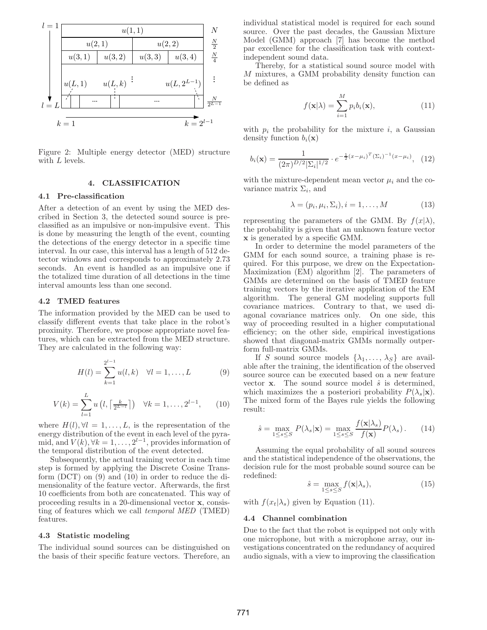

Figure 2: Multiple energy detector (MED) structure with  $L$  levels.

# **4. CLASSIFICATION**

# **4.1 Pre-classification**

After a detection of an event by using the MED described in Section 3, the detected sound source is preclassified as an impulsive or non-impulsive event. This is done by measuring the length of the event, counting the detections of the energy detector in a specific time interval. In our case, this interval has a length of 512 detector windows and corresponds to approximately 2.73 seconds. An event is handled as an impulsive one if the totalized time duration of all detections in the time interval amounts less than one second.

## **4.2 TMED features**

The information provided by the MED can be used to classify different events that take place in the robot's proximity. Therefore, we propose appropriate novel features, which can be extracted from the MED structure. They are calculated in the following way:

$$
H(l) = \sum_{k=1}^{2^{l-1}} u(l,k) \quad \forall l = 1,\dots, L \tag{9}
$$

$$
V(k) = \sum_{l=1}^{L} u(l, \lceil \frac{k}{2^{L-l}} \rceil) \quad \forall k = 1, \dots, 2^{l-1}, \qquad (10)
$$

where  $H(l)$ ,  $\forall l = 1, \ldots, L$ , is the representation of the energy distribution of the event in each level of the pyramid, and  $V(k)$ ,  $\forall k = 1, \ldots, 2^{l-1}$ , provides information of the temporal distribution of the event detected.

Subsequently, the actual training vector in each time step is formed by applying the Discrete Cosine Transform (DCT) on (9) and (10) in order to reduce the dimensionality of the feature vector. Afterwards, the first 10 coefficients from both are concatenated. This way of proceeding results in a 20-dimensional vector **x**, consisting of features which we call *temporal MED* (TMED) features.

## **4.3 Statistic modeling**

The individual sound sources can be distinguished on the basis of their specific feature vectors. Therefore, an individual statistical model is required for each sound source. Over the past decades, the Gaussian Mixture Model (GMM) approach [7] has become the method par excellence for the classification task with contextindependent sound data.

Thereby, for a statistical sound source model with M mixtures, a GMM probability density function can be defined as

$$
f(\mathbf{x}|\lambda) = \sum_{i=1}^{M} p_i b_i(\mathbf{x}),
$$
\n(11)

with  $p_i$  the probability for the mixture i, a Gaussian density function  $b_i(\mathbf{x})$ 

$$
b_i(\mathbf{x}) = \frac{1}{(2\pi)^{D/2} |\Sigma_i|^{1/2}} \cdot e^{-\frac{1}{2}(x-\mu_i)^T (\Sigma_i)^{-1} (x-\mu_i)}, \quad (12)
$$

with the mixture-dependent mean vector  $\mu_i$  and the covariance matrix  $\Sigma_i$ , and

$$
\lambda = (p_i, \mu_i, \Sigma_i), i = 1, \dots, M \tag{13}
$$

representing the parameters of the GMM. By  $f(x|\lambda)$ , the probability is given that an unknown feature vector **x** is generated by a specific GMM.

In order to determine the model parameters of the GMM for each sound source, a training phase is required. For this purpose, we drew on the Expectation-Maximization (EM) algorithm [2]. The parameters of GMMs are determined on the basis of TMED feature training vectors by the iterative application of the EM algorithm. The general GM modeling supports full covariance matrices. Contrary to that, we used diagonal covariance matrices only. On one side, this way of proceeding resulted in a higher computational efficiency; on the other side, empirical investigations showed that diagonal-matrix GMMs normally outperform full-matrix GMMs.

If S sound source models  $\{\lambda_1, \ldots, \lambda_S\}$  are available after the training, the identification of the observed source source can be executed based on a new feature vector  $\bf{x}$ . The sound source model  $\hat{s}$  is determined, which maximizes the a posteriori probability  $P(\lambda_s|\mathbf{x})$ . The mixed form of the Bayes rule yields the following result:

$$
\hat{s} = \max_{1 \le s \le S} P(\lambda_s | \mathbf{x}) = \max_{1 \le s \le S} \frac{f(\mathbf{x} | \lambda_s)}{f(\mathbf{x})} P(\lambda_s). \tag{14}
$$

Assuming the equal probability of all sound sources and the statistical independence of the observations, the decision rule for the most probable sound source can be redefined:

$$
\hat{s} = \max_{1 \le s \le S} f(\mathbf{x} | \lambda_s), \tag{15}
$$

with  $f(x_t|\lambda_s)$  given by Equation (11).

#### **4.4 Channel combination**

Due to the fact that the robot is equipped not only with one microphone, but with a microphone array, our investigations concentrated on the redundancy of acquired audio signals, with a view to improving the classification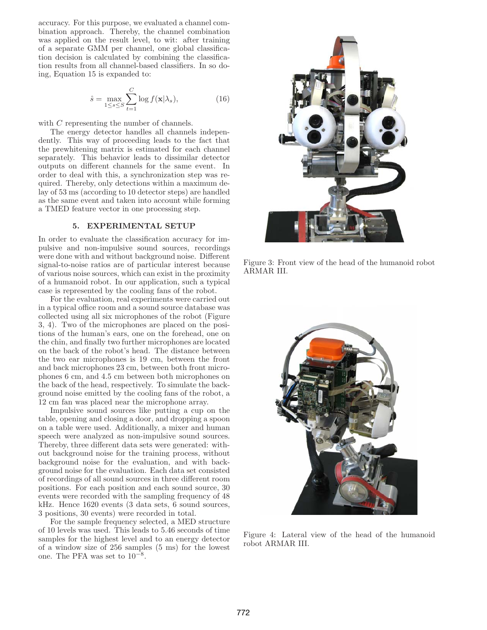accuracy. For this purpose, we evaluated a channel combination approach. Thereby, the channel combination was applied on the result level, to wit: after training of a separate GMM per channel, one global classification decision is calculated by combining the classification results from all channel-based classifiers. In so doing, Equation 15 is expanded to:

$$
\hat{s} = \max_{1 \le s \le S} \sum_{t=1}^{C} \log f(\mathbf{x} | \lambda_s), \tag{16}
$$

with C representing the number of channels.

The energy detector handles all channels independently. This way of proceeding leads to the fact that the prewhitening matrix is estimated for each channel separately. This behavior leads to dissimilar detector outputs on different channels for the same event. In order to deal with this, a synchronization step was required. Thereby, only detections within a maximum delay of 53 ms (according to 10 detector steps) are handled as the same event and taken into account while forming a TMED feature vector in one processing step.

## **5. EXPERIMENTAL SETUP**

In order to evaluate the classification accuracy for impulsive and non-impulsive sound sources, recordings were done with and without background noise. Different signal-to-noise ratios are of particular interest because of various noise sources, which can exist in the proximity of a humanoid robot. In our application, such a typical case is represented by the cooling fans of the robot.

For the evaluation, real experiments were carried out in a typical office room and a sound source database was collected using all six microphones of the robot (Figure 3, 4). Two of the microphones are placed on the positions of the human's ears, one on the forehead, one on the chin, and finally two further microphones are located on the back of the robot's head. The distance between the two ear microphones is 19 cm, between the front and back microphones 23 cm, between both front microphones 6 cm, and 4.5 cm between both microphones on the back of the head, respectively. To simulate the background noise emitted by the cooling fans of the robot, a 12 cm fan was placed near the microphone array.

Impulsive sound sources like putting a cup on the table, opening and closing a door, and dropping a spoon on a table were used. Additionally, a mixer and human speech were analyzed as non-impulsive sound sources. Thereby, three different data sets were generated: without background noise for the training process, without background noise for the evaluation, and with background noise for the evaluation. Each data set consisted of recordings of all sound sources in three different room positions. For each position and each sound source, 30 events were recorded with the sampling frequency of 48 kHz. Hence 1620 events (3 data sets, 6 sound sources, 3 positions, 30 events) were recorded in total.

For the sample frequency selected, a MED structure of 10 levels was used. This leads to 5.46 seconds of time samples for the highest level and to an energy detector of a window size of 256 samples (5 ms) for the lowest one. The PFA was set to 10−<sup>8</sup>.



Figure 3: Front view of the head of the humanoid robot ARMAR III.



Figure 4: Lateral view of the head of the humanoid robot ARMAR III.